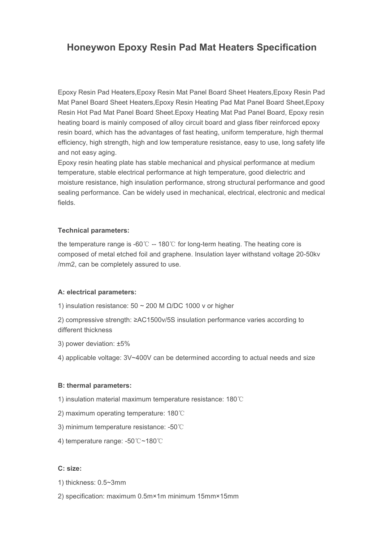# **Honeywon Epoxy Resin Pad Mat Heaters Specification**

Epoxy Resin Pad Heaters,Epoxy Resin Mat Panel Board Sheet Heaters,Epoxy Resin Pad Mat Panel Board Sheet Heaters,Epoxy Resin Heating Pad Mat Panel Board Sheet,Epoxy Resin Hot Pad Mat Panel Board Sheet.Epoxy Heating Mat Pad Panel Board, Epoxy resin heating board is mainly composed of alloy circuit board and glass fiber reinforced epoxy resin board, which has the advantages of fast heating, uniform temperature, high thermal efficiency, high strength, high and low temperature resistance, easy to use, long safety life and not easy aging.

Epoxy resin heating plate has stable mechanical and physical performance at medium temperature, stable electrical performance at high temperature, good dielectric and moisture resistance, high insulation performance, strong structural performance and good sealing performance. Can be widely used in mechanical, electrical, electronic and medical fields.

# **Technical parameters:**

the temperature range is-60℃ -- 180℃ for long-term heating.The heating core is composed of metal etched foil and graphene. Insulation layer withstand voltage 20-50kv /mm2, can be completely assured to use.

## **A: electrical parameters:**

- 1) insulation resistance:  $50 \sim 200$  M Ω/DC 1000 v or higher
- 2) compressive strength: ≥AC1500v/5S insulation performance varies according to different thickness
- 3) power deviation: ±5%
- 4) applicable voltage: 3V~400V can be determined according to actual needs and size

## **B: thermal parameters:**

- 1) insulation material maximum temperature resistance: 180℃
- 2) maximum operating temperature: 180℃
- 3) minimum temperature resistance: -50℃
- 4) temperature range: -50℃~180℃

## **C: size:**

- 1) thickness: 0.5~3mm
- 2) specification: maximum 0.5m×1m minimum 15mm×15mm